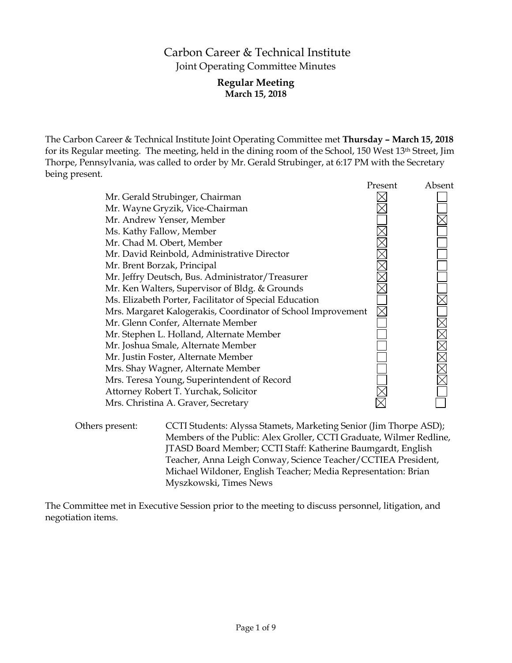# Carbon Career & Technical Institute Joint Operating Committee Minutes

# **Regular Meeting March 15, 2018**

The Carbon Career & Technical Institute Joint Operating Committee met **Thursday – March 15, 2018** for its Regular meeting. The meeting, held in the dining room of the School, 150 West 13th Street, Jim Thorpe, Pennsylvania, was called to order by Mr. Gerald Strubinger, at 6:17 PM with the Secretary being present.

|                                                              | Present | Absent              |
|--------------------------------------------------------------|---------|---------------------|
| Mr. Gerald Strubinger, Chairman                              |         |                     |
| Mr. Wayne Gryzik, Vice-Chairman                              |         |                     |
| Mr. Andrew Yenser, Member                                    |         |                     |
| Ms. Kathy Fallow, Member                                     |         |                     |
| Mr. Chad M. Obert, Member                                    |         |                     |
| Mr. David Reinbold, Administrative Director                  |         |                     |
| Mr. Brent Borzak, Principal                                  |         |                     |
| Mr. Jeffry Deutsch, Bus. Administrator/Treasurer             |         |                     |
| Mr. Ken Walters, Supervisor of Bldg. & Grounds               |         |                     |
| Ms. Elizabeth Porter, Facilitator of Special Education       |         |                     |
| Mrs. Margaret Kalogerakis, Coordinator of School Improvement |         |                     |
| Mr. Glenn Confer, Alternate Member                           |         |                     |
| Mr. Stephen L. Holland, Alternate Member                     |         | $\overline{\times}$ |
| Mr. Joshua Smale, Alternate Member                           |         |                     |
| Mr. Justin Foster, Alternate Member                          |         | <b>NNNE</b>         |
| Mrs. Shay Wagner, Alternate Member                           |         |                     |
| Mrs. Teresa Young, Superintendent of Record                  |         |                     |
| Attorney Robert T. Yurchak, Solicitor                        |         |                     |
| Mrs. Christina A. Graver, Secretary                          |         |                     |
|                                                              |         |                     |

Others present: CCTI Students: Alyssa Stamets, Marketing Senior (Jim Thorpe ASD); Members of the Public: Alex Groller, CCTI Graduate, Wilmer Redline, JTASD Board Member; CCTI Staff: Katherine Baumgardt, English Teacher, Anna Leigh Conway, Science Teacher/CCTIEA President, Michael Wildoner, English Teacher; Media Representation: Brian Myszkowski, Times News

The Committee met in Executive Session prior to the meeting to discuss personnel, litigation, and negotiation items.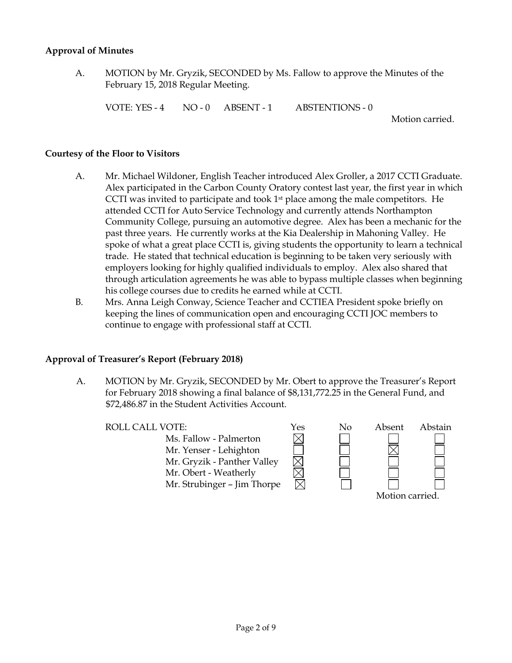### **Approval of Minutes**

A. MOTION by Mr. Gryzik, SECONDED by Ms. Fallow to approve the Minutes of the February 15, 2018 Regular Meeting.

VOTE: YES - 4 NO - 0 ABSENT - 1 ABSTENTIONS - 0

Motion carried.

#### **Courtesy of the Floor to Visitors**

- A. Mr. Michael Wildoner, English Teacher introduced Alex Groller, a 2017 CCTI Graduate. Alex participated in the Carbon County Oratory contest last year, the first year in which CCTI was invited to participate and took  $1<sup>st</sup>$  place among the male competitors. He attended CCTI for Auto Service Technology and currently attends Northampton Community College, pursuing an automotive degree. Alex has been a mechanic for the past three years. He currently works at the Kia Dealership in Mahoning Valley. He spoke of what a great place CCTI is, giving students the opportunity to learn a technical trade. He stated that technical education is beginning to be taken very seriously with employers looking for highly qualified individuals to employ. Alex also shared that through articulation agreements he was able to bypass multiple classes when beginning his college courses due to credits he earned while at CCTI.
- B. Mrs. Anna Leigh Conway, Science Teacher and CCTIEA President spoke briefly on keeping the lines of communication open and encouraging CCTI JOC members to continue to engage with professional staff at CCTI.

#### **Approval of Treasurer's Report (February 2018)**

A. MOTION by Mr. Gryzik, SECONDED by Mr. Obert to approve the Treasurer's Report for February 2018 showing a final balance of \$8,131,772.25 in the General Fund, and \$72,486.87 in the Student Activities Account.

Ms. Fallow - Palmerton Mr. Yenser - Lehighton Mr. Gryzik - Panther Valley Mr. Obert - Weatherly Mr. Strubinger – Jim Thorpe

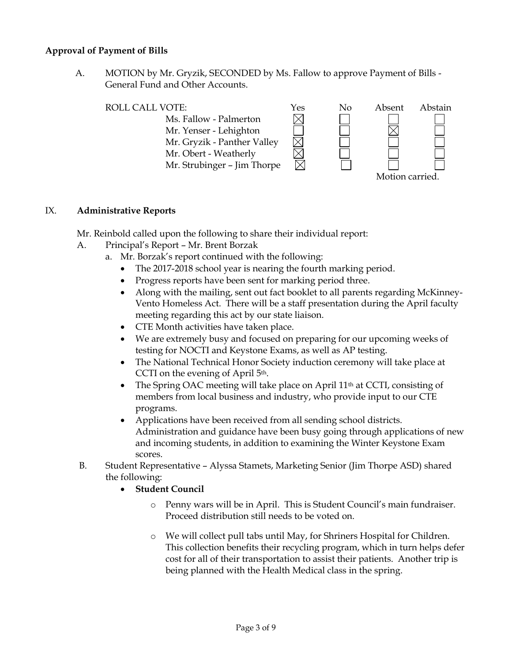# **Approval of Payment of Bills**

A. MOTION by Mr. Gryzik, SECONDED by Ms. Fallow to approve Payment of Bills - General Fund and Other Accounts.



- Ms. Fallow Palmerton Mr. Yenser - Lehighton Mr. Gryzik - Panther Valley
- Mr. Obert Weatherly

Mr. Strubinger – Jim Thorpe



# IX. **Administrative Reports**

Mr. Reinbold called upon the following to share their individual report:

- A. Principal's Report Mr. Brent Borzak
	- a. Mr. Borzak's report continued with the following:
		- The 2017-2018 school year is nearing the fourth marking period.
		- Progress reports have been sent for marking period three.
		- Along with the mailing, sent out fact booklet to all parents regarding McKinney-Vento Homeless Act. There will be a staff presentation during the April faculty meeting regarding this act by our state liaison.

 $\boxtimes$ 

- CTE Month activities have taken place.
- We are extremely busy and focused on preparing for our upcoming weeks of testing for NOCTI and Keystone Exams, as well as AP testing.
- The National Technical Honor Society induction ceremony will take place at CCTI on the evening of April 5th.
- The Spring OAC meeting will take place on April 11<sup>th</sup> at CCTI, consisting of members from local business and industry, who provide input to our CTE programs.
- Applications have been received from all sending school districts. Administration and guidance have been busy going through applications of new and incoming students, in addition to examining the Winter Keystone Exam scores.
- B. Student Representative Alyssa Stamets, Marketing Senior (Jim Thorpe ASD) shared the following:
	- **Student Council**
		- o Penny wars will be in April. This is Student Council's main fundraiser. Proceed distribution still needs to be voted on.
		- o We will collect pull tabs until May, for Shriners Hospital for Children. This collection benefits their recycling program, which in turn helps defer cost for all of their transportation to assist their patients. Another trip is being planned with the Health Medical class in the spring.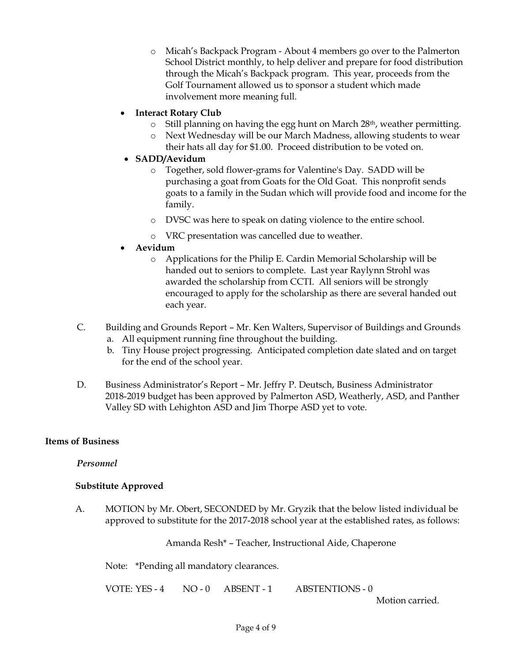o Micah's Backpack Program - About 4 members go over to the Palmerton School District monthly, to help deliver and prepare for food distribution through the Micah's Backpack program. This year, proceeds from the Golf Tournament allowed us to sponsor a student which made involvement more meaning full.

# **Interact Rotary Club**

- $\circ$  Still planning on having the egg hunt on March 28<sup>th</sup>, weather permitting.
- o Next Wednesday will be our March Madness, allowing students to wear their hats all day for \$1.00. Proceed distribution to be voted on.

# **SADD/Aevidum**

- o Together, sold flower-grams for Valentine's Day. SADD will be purchasing a goat from Goats for the Old Goat. This nonprofit sends goats to a family in the Sudan which will provide food and income for the family.
- o DVSC was here to speak on dating violence to the entire school.
- o VRC presentation was cancelled due to weather.

# **Aevidum**

- o Applications for the Philip E. Cardin Memorial Scholarship will be handed out to seniors to complete. Last year Raylynn Strohl was awarded the scholarship from CCTI. All seniors will be strongly encouraged to apply for the scholarship as there are several handed out each year.
- C. Building and Grounds Report Mr. Ken Walters, Supervisor of Buildings and Grounds a. All equipment running fine throughout the building.
	- b. Tiny House project progressing. Anticipated completion date slated and on target for the end of the school year.
- D. Business Administrator's Report Mr. Jeffry P. Deutsch, Business Administrator 2018-2019 budget has been approved by Palmerton ASD, Weatherly, ASD, and Panther Valley SD with Lehighton ASD and Jim Thorpe ASD yet to vote.

# **Items of Business**

# *Personnel*

# **Substitute Approved**

A. MOTION by Mr. Obert, SECONDED by Mr. Gryzik that the below listed individual be approved to substitute for the 2017-2018 school year at the established rates, as follows:

Amanda Resh\* – Teacher, Instructional Aide, Chaperone

Note: \*Pending all mandatory clearances.

VOTE: YES - 4 NO - 0 ABSENT - 1 ABSTENTIONS - 0

Motion carried.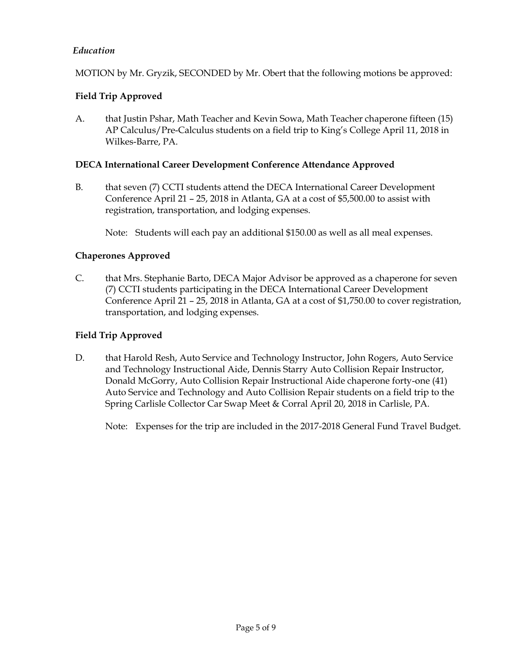# *Education*

MOTION by Mr. Gryzik, SECONDED by Mr. Obert that the following motions be approved:

# **Field Trip Approved**

A. that Justin Pshar, Math Teacher and Kevin Sowa, Math Teacher chaperone fifteen (15) AP Calculus/Pre-Calculus students on a field trip to King's College April 11, 2018 in Wilkes-Barre, PA.

### **DECA International Career Development Conference Attendance Approved**

B. that seven (7) CCTI students attend the DECA International Career Development Conference April 21 – 25, 2018 in Atlanta, GA at a cost of \$5,500.00 to assist with registration, transportation, and lodging expenses.

Note: Students will each pay an additional \$150.00 as well as all meal expenses.

# **Chaperones Approved**

C. that Mrs. Stephanie Barto, DECA Major Advisor be approved as a chaperone for seven (7) CCTI students participating in the DECA International Career Development Conference April 21 – 25, 2018 in Atlanta, GA at a cost of \$1,750.00 to cover registration, transportation, and lodging expenses.

# **Field Trip Approved**

D. that Harold Resh, Auto Service and Technology Instructor, John Rogers, Auto Service and Technology Instructional Aide, Dennis Starry Auto Collision Repair Instructor, Donald McGorry, Auto Collision Repair Instructional Aide chaperone forty-one (41) Auto Service and Technology and Auto Collision Repair students on a field trip to the Spring Carlisle Collector Car Swap Meet & Corral April 20, 2018 in Carlisle, PA.

Note: Expenses for the trip are included in the 2017-2018 General Fund Travel Budget.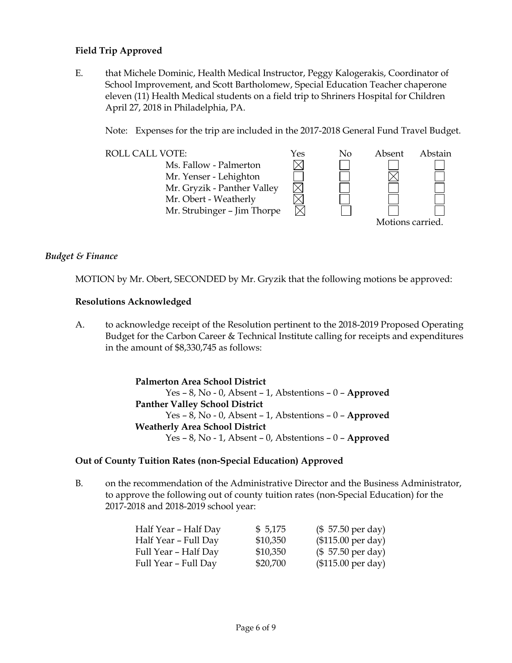# **Field Trip Approved**

E. that Michele Dominic, Health Medical Instructor, Peggy Kalogerakis, Coordinator of School Improvement, and Scott Bartholomew, Special Education Teacher chaperone eleven (11) Health Medical students on a field trip to Shriners Hospital for Children April 27, 2018 in Philadelphia, PA.

Note: Expenses for the trip are included in the 2017-2018 General Fund Travel Budget.



### *Budget & Finance*

MOTION by Mr. Obert, SECONDED by Mr. Gryzik that the following motions be approved:

#### **Resolutions Acknowledged**

A. to acknowledge receipt of the Resolution pertinent to the 2018-2019 Proposed Operating Budget for the Carbon Career & Technical Institute calling for receipts and expenditures in the amount of \$8,330,745 as follows:

> **Palmerton Area School District** Yes – 8, No - 0, Absent – 1, Abstentions – 0 – **Approved Panther Valley School District** Yes – 8, No - 0, Absent – 1, Abstentions – 0 – **Approved Weatherly Area School District** Yes – 8, No - 1, Absent – 0, Abstentions – 0 – **Approved**

#### **Out of County Tuition Rates (non-Special Education) Approved**

B. on the recommendation of the Administrative Director and the Business Administrator, to approve the following out of county tuition rates (non-Special Education) for the 2017-2018 and 2018-2019 school year:

| Half Year - Half Day | \$5,175  | $($57.50 \text{ per day})$  |
|----------------------|----------|-----------------------------|
| Half Year - Full Day | \$10,350 | (\$115.00 per day)          |
| Full Year – Half Day | \$10,350 | $($57.50 \text{ per day})$  |
| Full Year - Full Day | \$20,700 | $($115.00 \text{ per day})$ |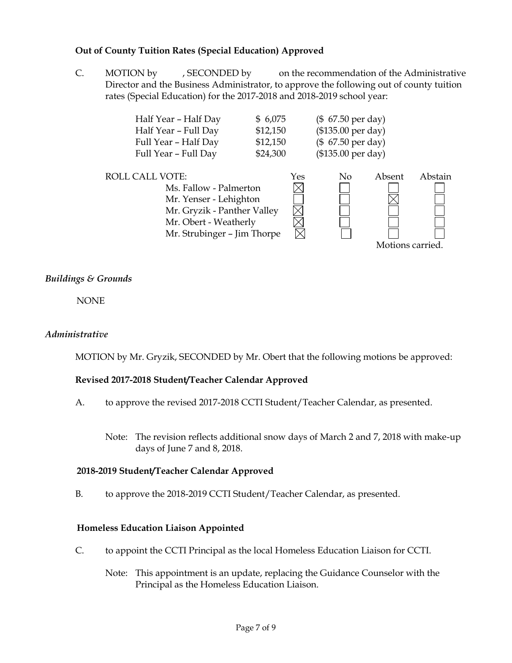# **Out of County Tuition Rates (Special Education) Approved**

C. MOTION by , SECONDED by on the recommendation of the Administrative Director and the Business Administrator, to approve the following out of county tuition rates (Special Education) for the 2017-2018 and 2018-2019 school year:

| Half Year - Half Day                                                                                                                                              | \$6,075                        |     | $($ 67.50 \text{ per day})$ |                  |         |
|-------------------------------------------------------------------------------------------------------------------------------------------------------------------|--------------------------------|-----|-----------------------------|------------------|---------|
| Half Year - Full Day                                                                                                                                              | \$12,150                       |     | (\$135.00 per day)          |                  |         |
| Full Year - Half Day                                                                                                                                              | (\$ 67.50 per day)<br>\$12,150 |     |                             |                  |         |
| Full Year - Full Day                                                                                                                                              | \$24,300                       |     | (\$135.00 per day)          |                  |         |
| <b>ROLL CALL VOTE:</b><br>Ms. Fallow - Palmerton<br>Mr. Yenser - Lehighton<br>Mr. Gryzik - Panther Valley<br>Mr. Obert - Weatherly<br>Mr. Strubinger - Jim Thorpe |                                | Yes | No                          | Absent           | Abstain |
|                                                                                                                                                                   |                                |     |                             | Motions carried. |         |

### *Buildings & Grounds*

NONE

#### *Administrative*

MOTION by Mr. Gryzik, SECONDED by Mr. Obert that the following motions be approved:

#### **Revised 2017-2018 Student/Teacher Calendar Approved**

- A. to approve the revised 2017-2018 CCTI Student/Teacher Calendar, as presented.
	- Note: The revision reflects additional snow days of March 2 and 7, 2018 with make-up days of June 7 and 8, 2018.

#### **2018-2019 Student/Teacher Calendar Approved**

B. to approve the 2018-2019 CCTI Student/Teacher Calendar, as presented.

#### **Homeless Education Liaison Appointed**

- C. to appoint the CCTI Principal as the local Homeless Education Liaison for CCTI.
	- Note: This appointment is an update, replacing the Guidance Counselor with the Principal as the Homeless Education Liaison.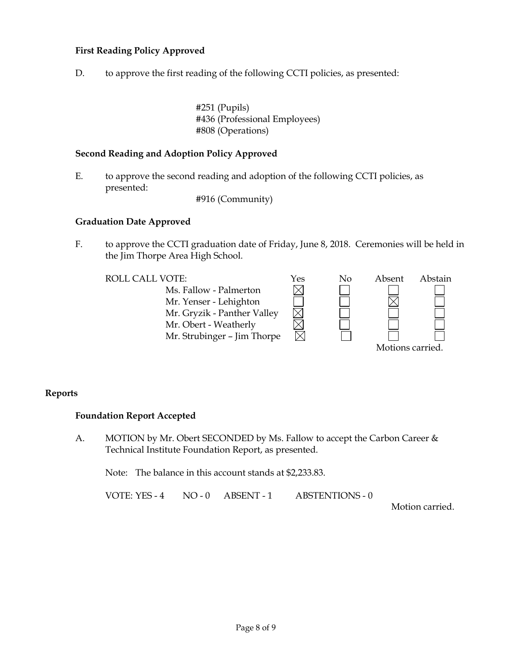# **First Reading Policy Approved**

D. to approve the first reading of the following CCTI policies, as presented:

#251 (Pupils) #436 (Professional Employees) #808 (Operations)

### **Second Reading and Adoption Policy Approved**

E. to approve the second reading and adoption of the following CCTI policies, as presented:

#916 (Community)

#### **Graduation Date Approved**

F. to approve the CCTI graduation date of Friday, June 8, 2018. Ceremonies will be held in the Jim Thorpe Area High School.

 $\boxtimes$ 

Ms. Fallow - Palmerton Mr. Yenser - Lehighton Mr. Gryzik - Panther Valley Mr. Obert - Weatherly Mr. Strubinger – Jim Thorpe



# **Reports**

#### **Foundation Report Accepted**

A. MOTION by Mr. Obert SECONDED by Ms. Fallow to accept the Carbon Career & Technical Institute Foundation Report, as presented.

Note: The balance in this account stands at \$2,233.83.

VOTE: YES - 4 NO - 0 ABSENT - 1 ABSTENTIONS - 0

Motion carried.